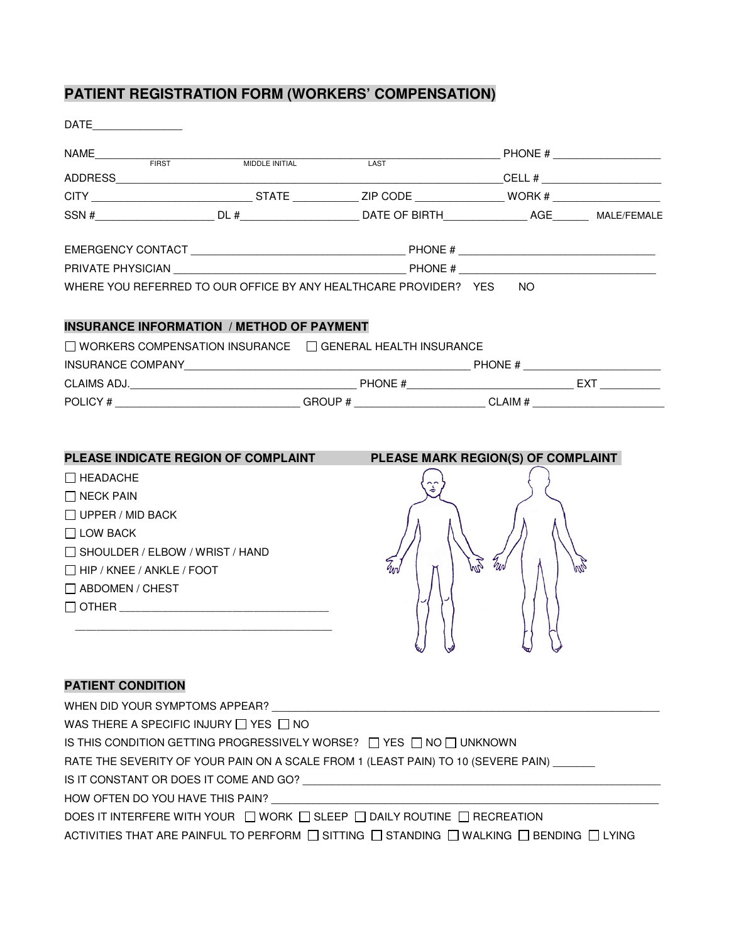## **PATIENT REGISTRATION FORM (WORKERS' COMPENSATION)**

| DATE _______________                   |                                                                                                      |                                                                                                                |    |                                    |                           |  |
|----------------------------------------|------------------------------------------------------------------------------------------------------|----------------------------------------------------------------------------------------------------------------|----|------------------------------------|---------------------------|--|
|                                        | NAME FIRST FIRST  NIDDLE INITIAL                                                                     |                                                                                                                |    |                                    | $\overline{LAST}$ PHONE # |  |
|                                        |                                                                                                      |                                                                                                                |    |                                    |                           |  |
|                                        |                                                                                                      |                                                                                                                |    |                                    |                           |  |
|                                        |                                                                                                      |                                                                                                                |    |                                    |                           |  |
|                                        |                                                                                                      |                                                                                                                |    |                                    |                           |  |
|                                        |                                                                                                      | PRIVATE PHYSICIAN THE RESERVE OF THE RESERVE THE RESERVE OF THE RESERVE OF THE RESERVE OF THE RESERVE OF THE R |    |                                    |                           |  |
|                                        | WHERE YOU REFERRED TO OUR OFFICE BY ANY HEALTHCARE PROVIDER? YES NO                                  |                                                                                                                |    |                                    |                           |  |
|                                        | <b>INSURANCE INFORMATION / METHOD OF PAYMENT</b>                                                     |                                                                                                                |    |                                    |                           |  |
|                                        | $\Box$ WORKERS COMPENSATION INSURANCE $\Box$ GENERAL HEALTH INSURANCE                                |                                                                                                                |    |                                    |                           |  |
|                                        |                                                                                                      |                                                                                                                |    |                                    |                           |  |
|                                        |                                                                                                      |                                                                                                                |    |                                    |                           |  |
|                                        | POLICY # ________________________________GROUP # ______________________CLAIM # _____________________ |                                                                                                                |    |                                    |                           |  |
|                                        | PLEASE INDICATE REGION OF COMPLAINT                                                                  |                                                                                                                |    | PLEASE MARK REGION(S) OF COMPLAINT |                           |  |
| I I HEADACHE                           |                                                                                                      |                                                                                                                |    |                                    |                           |  |
| $\Box$ NECK PAIN                       |                                                                                                      |                                                                                                                |    |                                    |                           |  |
| $\Box$ UPPER / MID BACK                |                                                                                                      |                                                                                                                |    |                                    |                           |  |
| $\Box$ LOW BACK                        |                                                                                                      |                                                                                                                |    |                                    |                           |  |
| $\Box$ SHOULDER / ELBOW / WRIST / HAND |                                                                                                      | $Z_{ln}$                                                                                                       | EN | Trin                               | M                         |  |
| $\Box$ HIP / KNEE / ANKLE / FOOT       |                                                                                                      |                                                                                                                |    |                                    |                           |  |
| $\Box$ ABDOMEN / CHEST                 |                                                                                                      |                                                                                                                |    |                                    |                           |  |
|                                        |                                                                                                      |                                                                                                                |    |                                    |                           |  |
|                                        |                                                                                                      |                                                                                                                |    |                                    |                           |  |
| <b>PATIENT CONDITION</b>               |                                                                                                      |                                                                                                                |    |                                    |                           |  |
| WHEN DID YOUR SYMPTOMS APPEAR?         |                                                                                                      |                                                                                                                |    |                                    |                           |  |
|                                        | WAS THERE A SPECIFIC INJURY $\Box$ YES $\Box$ NO                                                     |                                                                                                                |    |                                    |                           |  |
|                                        | IS THIS CONDITION GETTING PROGRESSIVELY WORSE? $\Box$ YES $\Box$ NO $\Box$ UNKNOWN                   |                                                                                                                |    |                                    |                           |  |
|                                        | $DITY$ OF VOLID DAILLOLLA OOALE FROM                                                                 |                                                                                                                |    |                                    |                           |  |

RATE THE SEVERITY OF YOUR PAIN ON A SCALE FROM 1 (LEAST PAIN) TO 10 (SEVERE PAIN) \_\_\_\_\_

IS IT CONSTANT OR DOES IT COME AND GO? \_\_\_\_\_\_\_\_\_\_\_\_\_\_\_\_\_\_\_\_\_\_\_\_\_\_\_\_\_\_\_\_\_\_\_\_\_\_\_\_\_\_\_\_\_\_\_\_\_\_\_\_\_\_\_\_\_\_\_\_

HOW OFTEN DO YOU HAVE THIS PAIN? \_\_\_\_\_\_\_\_\_\_\_\_\_\_\_\_\_\_\_\_\_\_\_\_\_\_\_\_\_\_\_\_\_\_\_\_\_\_\_\_\_\_\_\_\_\_\_\_\_\_\_\_\_\_\_\_\_\_\_\_\_\_\_\_\_

DOES IT INTERFERE WITH YOUR  $\Box$  WORK  $\Box$  SLEEP  $\Box$  DAILY ROUTINE  $\Box$  RECREATION

ACTIVITIES THAT ARE PAINFUL TO PERFORM  $\Box$  SITTING  $\Box$  STANDING  $\Box$  WALKING  $\Box$  BENDING  $\Box$  LYING